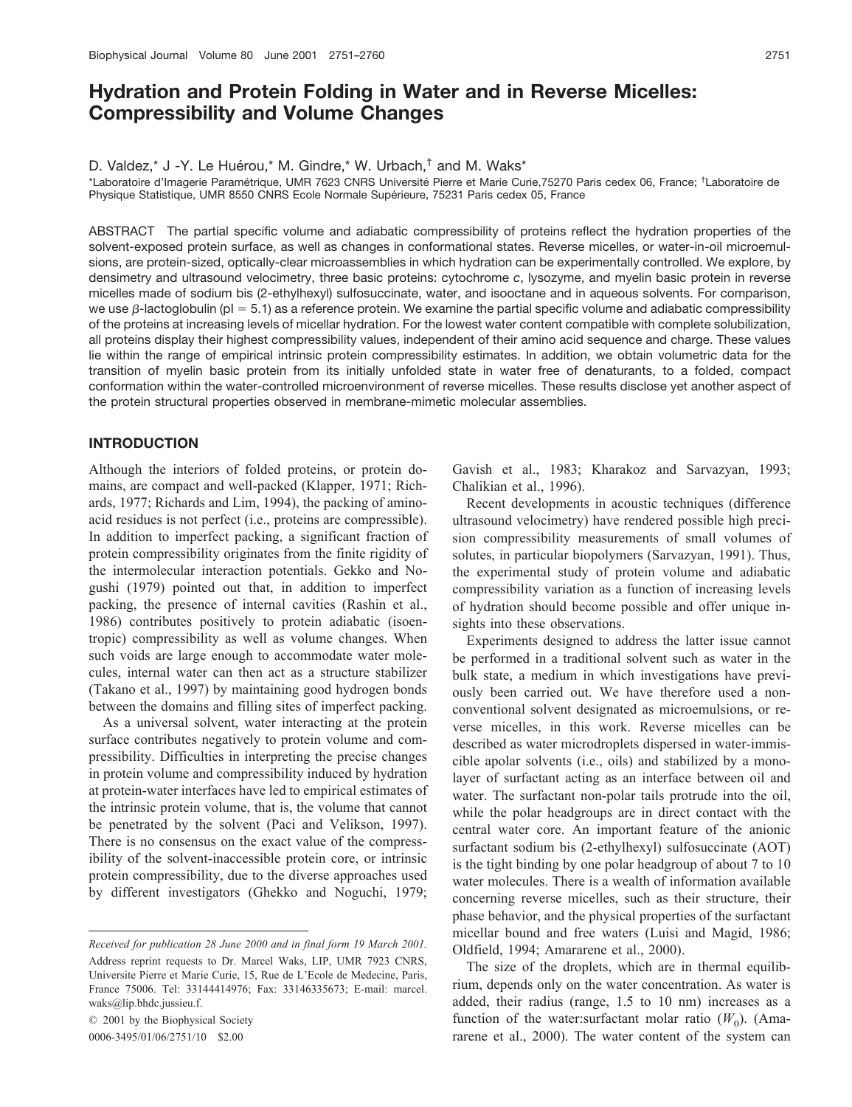# **Hydration and Protein Folding in Water and in Reverse Micelles: Compressibility and Volume Changes**

D. Valdez,\* J -Y. Le Huérou,\* M. Gindre,\* W. Urbach, $^{\dagger}$  and M. Waks\*

\*Laboratoire d'Imagerie Paramétrique, UMR 7623 CNRS Université Pierre et Marie Curie,75270 Paris cedex 06, France; <sup>†</sup>Laboratoire de Physique Statistique, UMR 8550 CNRS Ecole Normale Supérieure, 75231 Paris cedex 05, France

ABSTRACT The partial specific volume and adiabatic compressibility of proteins reflect the hydration properties of the solvent-exposed protein surface, as well as changes in conformational states. Reverse micelles, or water-in-oil microemulsions, are protein-sized, optically-clear microassemblies in which hydration can be experimentally controlled. We explore, by densimetry and ultrasound velocimetry, three basic proteins: cytochrome *c*, lysozyme, and myelin basic protein in reverse micelles made of sodium bis (2-ethylhexyl) sulfosuccinate, water, and isooctane and in aqueous solvents. For comparison, we use  $\beta$ -lactoglobulin (pl  $=5.1$ ) as a reference protein. We examine the partial specific volume and adiabatic compressibility of the proteins at increasing levels of micellar hydration. For the lowest water content compatible with complete solubilization, all proteins display their highest compressibility values, independent of their amino acid sequence and charge. These values lie within the range of empirical intrinsic protein compressibility estimates. In addition, we obtain volumetric data for the transition of myelin basic protein from its initially unfolded state in water free of denaturants, to a folded, compact conformation within the water-controlled microenvironment of reverse micelles. These results disclose yet another aspect of the protein structural properties observed in membrane-mimetic molecular assemblies.

# **INTRODUCTION**

Although the interiors of folded proteins, or protein domains, are compact and well-packed (Klapper, 1971; Richards, 1977; Richards and Lim, 1994), the packing of aminoacid residues is not perfect (i.e., proteins are compressible). In addition to imperfect packing, a significant fraction of protein compressibility originates from the finite rigidity of the intermolecular interaction potentials. Gekko and Nogushi (1979) pointed out that, in addition to imperfect packing, the presence of internal cavities (Rashin et al., 1986) contributes positively to protein adiabatic (isoentropic) compressibility as well as volume changes. When such voids are large enough to accommodate water molecules, internal water can then act as a structure stabilizer (Takano et al., 1997) by maintaining good hydrogen bonds between the domains and filling sites of imperfect packing.

As a universal solvent, water interacting at the protein surface contributes negatively to protein volume and compressibility. Difficulties in interpreting the precise changes in protein volume and compressibility induced by hydration at protein-water interfaces have led to empirical estimates of the intrinsic protein volume, that is, the volume that cannot be penetrated by the solvent (Paci and Velikson, 1997). There is no consensus on the exact value of the compressibility of the solvent-inaccessible protein core, or intrinsic protein compressibility, due to the diverse approaches used by different investigators (Ghekko and Noguchi, 1979;

© 2001 by the Biophysical Society 0006-3495/01/06/2751/10 \$2.00

Gavish et al., 1983; Kharakoz and Sarvazyan, 1993; Chalikian et al., 1996).

Recent developments in acoustic techniques (difference ultrasound velocimetry) have rendered possible high precision compressibility measurements of small volumes of solutes, in particular biopolymers (Sarvazyan, 1991). Thus, the experimental study of protein volume and adiabatic compressibility variation as a function of increasing levels of hydration should become possible and offer unique insights into these observations.

Experiments designed to address the latter issue cannot be performed in a traditional solvent such as water in the bulk state, a medium in which investigations have previously been carried out. We have therefore used a nonconventional solvent designated as microemulsions, or reverse micelles, in this work. Reverse micelles can be described as water microdroplets dispersed in water-immiscible apolar solvents (i.e., oils) and stabilized by a monolayer of surfactant acting as an interface between oil and water. The surfactant non-polar tails protrude into the oil, while the polar headgroups are in direct contact with the central water core. An important feature of the anionic surfactant sodium bis (2-ethylhexyl) sulfosuccinate (AOT) is the tight binding by one polar headgroup of about 7 to 10 water molecules. There is a wealth of information available concerning reverse micelles, such as their structure, their phase behavior, and the physical properties of the surfactant micellar bound and free waters (Luisi and Magid, 1986; Oldfield, 1994; Amararene et al., 2000).

The size of the droplets, which are in thermal equilibrium, depends only on the water concentration. As water is added, their radius (range, 1.5 to 10 nm) increases as a function of the water:surfactant molar ratio  $(W_0)$ . (Amararene et al., 2000). The water content of the system can

*Received for publication 28 June 2000 and in final form 19 March 2001.* Address reprint requests to Dr. Marcel Waks, LIP, UMR 7923 CNRS, Universite Pierre et Marie Curie, 15, Rue de L'Ecole de Medecine, Paris, France 75006. Tel: 33144414976; Fax: 33146335673; E-mail: marcel. waks@lip.bhdc.jussieu.f.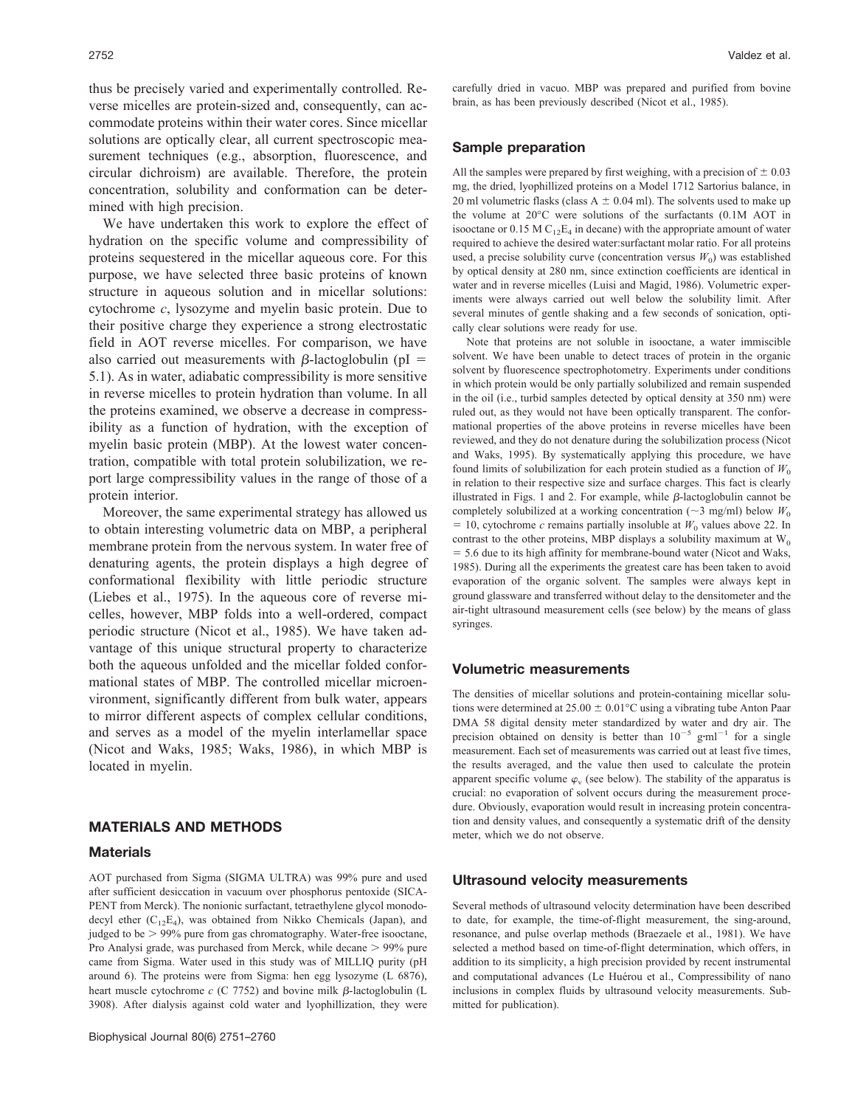thus be precisely varied and experimentally controlled. Reverse micelles are protein-sized and, consequently, can accommodate proteins within their water cores. Since micellar solutions are optically clear, all current spectroscopic measurement techniques (e.g., absorption, fluorescence, and circular dichroism) are available. Therefore, the protein concentration, solubility and conformation can be determined with high precision.

We have undertaken this work to explore the effect of hydration on the specific volume and compressibility of proteins sequestered in the micellar aqueous core. For this purpose, we have selected three basic proteins of known structure in aqueous solution and in micellar solutions: cytochrome *c*, lysozyme and myelin basic protein. Due to their positive charge they experience a strong electrostatic field in AOT reverse micelles. For comparison, we have also carried out measurements with  $\beta$ -lactoglobulin (pI = 5.1). As in water, adiabatic compressibility is more sensitive in reverse micelles to protein hydration than volume. In all the proteins examined, we observe a decrease in compressibility as a function of hydration, with the exception of myelin basic protein (MBP). At the lowest water concentration, compatible with total protein solubilization, we report large compressibility values in the range of those of a protein interior.

Moreover, the same experimental strategy has allowed us to obtain interesting volumetric data on MBP, a peripheral membrane protein from the nervous system. In water free of denaturing agents, the protein displays a high degree of conformational flexibility with little periodic structure (Liebes et al., 1975). In the aqueous core of reverse micelles, however, MBP folds into a well-ordered, compact periodic structure (Nicot et al., 1985). We have taken advantage of this unique structural property to characterize both the aqueous unfolded and the micellar folded conformational states of MBP. The controlled micellar microenvironment, significantly different from bulk water, appears to mirror different aspects of complex cellular conditions, and serves as a model of the myelin interlamellar space (Nicot and Waks, 1985; Waks, 1986), in which MBP is located in myelin.

## **MATERIALS AND METHODS**

#### **Materials**

AOT purchased from Sigma (SIGMA ULTRA) was 99% pure and used after sufficient desiccation in vacuum over phosphorus pentoxide (SICA-PENT from Merck). The nonionic surfactant, tetraethylene glycol monododecyl ether  $(C_{12}E_4)$ , was obtained from Nikko Chemicals (Japan), and judged to be  $> 99\%$  pure from gas chromatography. Water-free isooctane, Pro Analysi grade, was purchased from Merck, while decane  $> 99\%$  pure came from Sigma. Water used in this study was of MILLIQ purity (pH around 6). The proteins were from Sigma: hen egg lysozyme (L 6876), heart muscle cytochrome  $c$  (C 7752) and bovine milk  $\beta$ -lactoglobulin (L 3908). After dialysis against cold water and lyophillization, they were carefully dried in vacuo. MBP was prepared and purified from bovine brain, as has been previously described (Nicot et al., 1985).

### **Sample preparation**

All the samples were prepared by first weighing, with a precision of  $\pm$  0.03 mg, the dried, lyophillized proteins on a Model 1712 Sartorius balance, in 20 ml volumetric flasks (class  $A \pm 0.04$  ml). The solvents used to make up the volume at 20°C were solutions of the surfactants (0.1M AOT in isooctane or 0.15 M  $C_{12}E_4$  in decane) with the appropriate amount of water required to achieve the desired water:surfactant molar ratio. For all proteins used, a precise solubility curve (concentration versus  $W_0$ ) was established by optical density at 280 nm, since extinction coefficients are identical in water and in reverse micelles (Luisi and Magid, 1986). Volumetric experiments were always carried out well below the solubility limit. After several minutes of gentle shaking and a few seconds of sonication, optically clear solutions were ready for use.

Note that proteins are not soluble in isooctane, a water immiscible solvent. We have been unable to detect traces of protein in the organic solvent by fluorescence spectrophotometry. Experiments under conditions in which protein would be only partially solubilized and remain suspended in the oil (i.e., turbid samples detected by optical density at 350 nm) were ruled out, as they would not have been optically transparent. The conformational properties of the above proteins in reverse micelles have been reviewed, and they do not denature during the solubilization process (Nicot and Waks, 1995). By systematically applying this procedure, we have found limits of solubilization for each protein studied as a function of  $W_0$ in relation to their respective size and surface charges. This fact is clearly illustrated in Figs. 1 and 2. For example, while  $\beta$ -lactoglobulin cannot be completely solubilized at a working concentration ( $\sim$ 3 mg/ml) below  $W_0$  $=$  10, cytochrome *c* remains partially insoluble at  $W_0$  values above 22. In contrast to the other proteins, MBP displays a solubility maximum at  $W_0$ - 5.6 due to its high affinity for membrane-bound water (Nicot and Waks, 1985). During all the experiments the greatest care has been taken to avoid evaporation of the organic solvent. The samples were always kept in ground glassware and transferred without delay to the densitometer and the air-tight ultrasound measurement cells (see below) by the means of glass syringes.

#### **Volumetric measurements**

The densities of micellar solutions and protein-containing micellar solutions were determined at  $25.00 \pm 0.01$ °C using a vibrating tube Anton Paar DMA 58 digital density meter standardized by water and dry air. The precision obtained on density is better than  $10^{-5}$  g·ml<sup>-1</sup> for a single measurement. Each set of measurements was carried out at least five times, the results averaged, and the value then used to calculate the protein apparent specific volume  $\varphi$  (see below). The stability of the apparatus is crucial: no evaporation of solvent occurs during the measurement procedure. Obviously, evaporation would result in increasing protein concentration and density values, and consequently a systematic drift of the density meter, which we do not observe.

### **Ultrasound velocity measurements**

Several methods of ultrasound velocity determination have been described to date, for example, the time-of-flight measurement, the sing-around, resonance, and pulse overlap methods (Braezaele et al., 1981). We have selected a method based on time-of-flight determination, which offers, in addition to its simplicity, a high precision provided by recent instrumental and computational advances (Le Huérou et al., Compressibility of nano inclusions in complex fluids by ultrasound velocity measurements. Submitted for publication).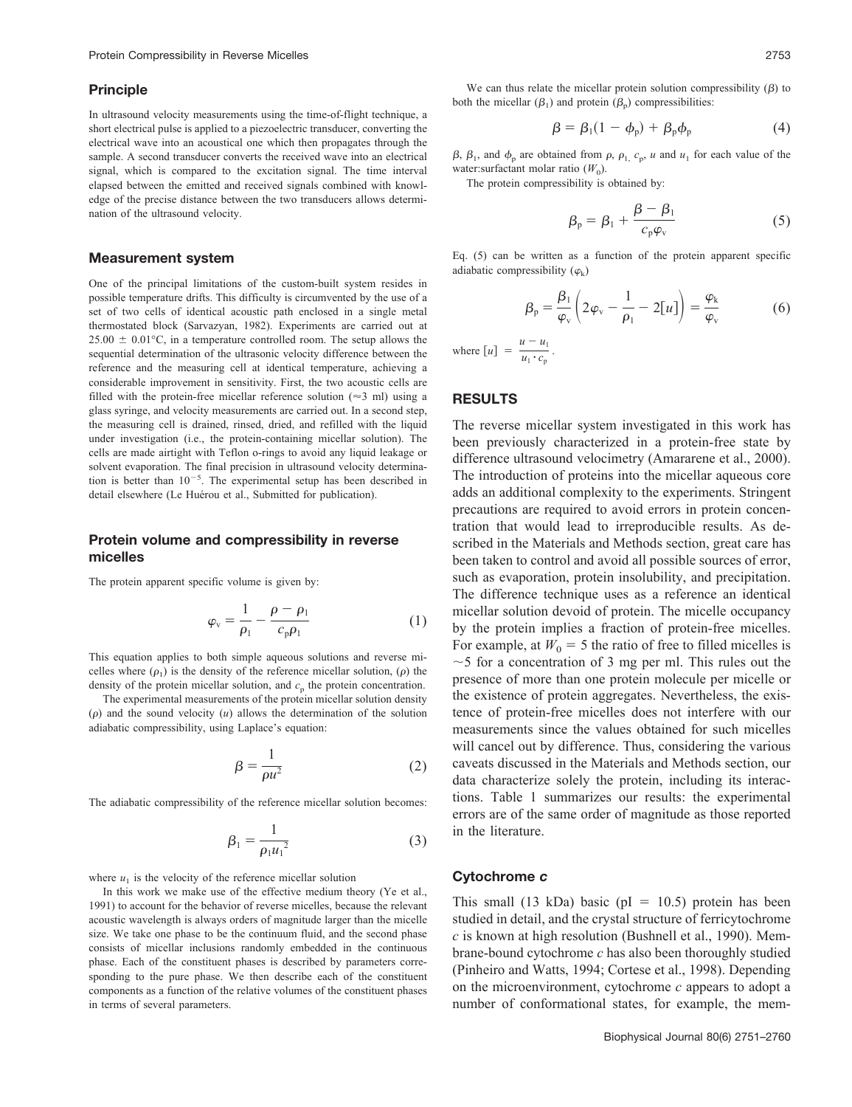#### **Principle**

In ultrasound velocity measurements using the time-of-flight technique, a short electrical pulse is applied to a piezoelectric transducer, converting the electrical wave into an acoustical one which then propagates through the sample. A second transducer converts the received wave into an electrical signal, which is compared to the excitation signal. The time interval elapsed between the emitted and received signals combined with knowledge of the precise distance between the two transducers allows determination of the ultrasound velocity.

#### **Measurement system**

One of the principal limitations of the custom-built system resides in possible temperature drifts. This difficulty is circumvented by the use of a set of two cells of identical acoustic path enclosed in a single metal thermostated block (Sarvazyan, 1982). Experiments are carried out at  $25.00 \pm 0.01$ °C, in a temperature controlled room. The setup allows the sequential determination of the ultrasonic velocity difference between the reference and the measuring cell at identical temperature, achieving a considerable improvement in sensitivity. First, the two acoustic cells are filled with the protein-free micellar reference solution ( $\approx$ 3 ml) using a glass syringe, and velocity measurements are carried out. In a second step, the measuring cell is drained, rinsed, dried, and refilled with the liquid under investigation (i.e., the protein-containing micellar solution). The cells are made airtight with Teflon o-rings to avoid any liquid leakage or solvent evaporation. The final precision in ultrasound velocity determination is better than  $10^{-5}$ . The experimental setup has been described in detail elsewhere (Le Huérou et al., Submitted for publication).

# **Protein volume and compressibility in reverse micelles**

The protein apparent specific volume is given by:

$$
\varphi_{\rm v} = \frac{1}{\rho_1} - \frac{\rho - \rho_1}{c_{\rm p}\rho_1} \tag{1}
$$

This equation applies to both simple aqueous solutions and reverse micelles where  $(\rho_1)$  is the density of the reference micellar solution,  $(\rho)$  the density of the protein micellar solution, and  $c_p$  the protein concentration.

The experimental measurements of the protein micellar solution density  $(\rho)$  and the sound velocity  $(u)$  allows the determination of the solution adiabatic compressibility, using Laplace's equation:

$$
\beta = \frac{1}{\rho u^2} \tag{2}
$$

The adiabatic compressibility of the reference micellar solution becomes:

$$
\beta_1 = \frac{1}{\rho_1 u_1^2} \tag{3}
$$

where  $u_1$  is the velocity of the reference micellar solution

In this work we make use of the effective medium theory (Ye et al., 1991) to account for the behavior of reverse micelles, because the relevant acoustic wavelength is always orders of magnitude larger than the micelle size. We take one phase to be the continuum fluid, and the second phase consists of micellar inclusions randomly embedded in the continuous phase. Each of the constituent phases is described by parameters corresponding to the pure phase. We then describe each of the constituent components as a function of the relative volumes of the constituent phases in terms of several parameters.

We can thus relate the micellar protein solution compressibility  $(\beta)$  to both the micellar  $(\beta_1)$  and protein  $(\beta_p)$  compressibilities:

$$
\beta = \beta_1 (1 - \phi_p) + \beta_p \phi_p \tag{4}
$$

 $\beta$ ,  $\beta_1$ , and  $\phi_p$  are obtained from  $\rho$ ,  $\rho_1$ ,  $c_p$ , *u* and  $u_1$  for each value of the water:surfactant molar ratio  $(W_0)$ .

The protein compressibility is obtained by:

$$
\beta_{\rm p} = \beta_1 + \frac{\beta - \beta_1}{c_{\rm p}\varphi_{\rm v}}\tag{5}
$$

Eq. (5) can be written as a function of the protein apparent specific adiabatic compressibility  $(\varphi_k)$ 

$$
\beta_{\rm p} = \frac{\beta_1}{\varphi_{\rm v}} \left( 2\varphi_{\rm v} - \frac{1}{\rho_1} - 2[u] \right) = \frac{\varphi_{\rm k}}{\varphi_{\rm v}} \tag{6}
$$

where  $[u] = \frac{u - u_1}{u_1 \cdot c_p}$ .

## **RESULTS**

The reverse micellar system investigated in this work has been previously characterized in a protein-free state by difference ultrasound velocimetry (Amararene et al., 2000). The introduction of proteins into the micellar aqueous core adds an additional complexity to the experiments. Stringent precautions are required to avoid errors in protein concentration that would lead to irreproducible results. As described in the Materials and Methods section, great care has been taken to control and avoid all possible sources of error, such as evaporation, protein insolubility, and precipitation. The difference technique uses as a reference an identical micellar solution devoid of protein. The micelle occupancy by the protein implies a fraction of protein-free micelles. For example, at  $W_0 = 5$  the ratio of free to filled micelles is  $\sim$  5 for a concentration of 3 mg per ml. This rules out the presence of more than one protein molecule per micelle or the existence of protein aggregates. Nevertheless, the existence of protein-free micelles does not interfere with our measurements since the values obtained for such micelles will cancel out by difference. Thus, considering the various caveats discussed in the Materials and Methods section, our data characterize solely the protein, including its interactions. Table 1 summarizes our results: the experimental errors are of the same order of magnitude as those reported in the literature.

## **Cytochrome** *c*

This small  $(13 kDa)$  basic  $(pl = 10.5)$  protein has been studied in detail, and the crystal structure of ferricytochrome *c* is known at high resolution (Bushnell et al., 1990). Membrane-bound cytochrome *c* has also been thoroughly studied (Pinheiro and Watts, 1994; Cortese et al., 1998). Depending on the microenvironment, cytochrome *c* appears to adopt a number of conformational states, for example, the mem-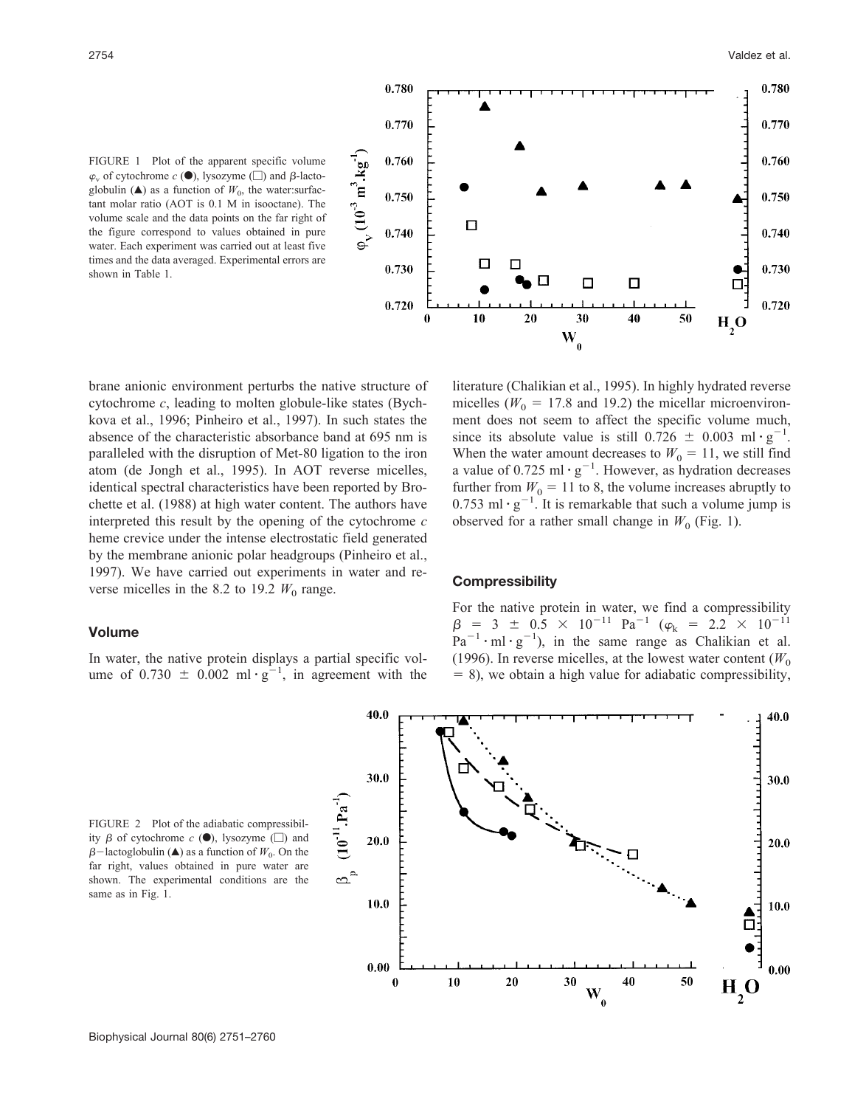FIGURE 1 Plot of the apparent specific volume  $\varphi$ <sub>v</sub> of cytochrome  $c$  ( $\bullet$ ), lysozyme ( $\Box$ ) and  $\beta$ -lactoglobulin  $(\triangle)$  as a function of  $W_0$ , the water:surfactant molar ratio (AOT is 0.1 M in isooctane). The volume scale and the data points on the far right of the figure correspond to values obtained in pure water. Each experiment was carried out at least five times and the data averaged. Experimental errors are shown in Table 1.



brane anionic environment perturbs the native structure of cytochrome *c*, leading to molten globule-like states (Bychkova et al., 1996; Pinheiro et al., 1997). In such states the absence of the characteristic absorbance band at 695 nm is paralleled with the disruption of Met-80 ligation to the iron atom (de Jongh et al., 1995). In AOT reverse micelles, identical spectral characteristics have been reported by Brochette et al. (1988) at high water content. The authors have interpreted this result by the opening of the cytochrome *c* heme crevice under the intense electrostatic field generated by the membrane anionic polar headgroups (Pinheiro et al., 1997). We have carried out experiments in water and reverse micelles in the 8.2 to 19.2  $W_0$  range.

# **Volume**

In water, the native protein displays a partial specific volume of  $0.730 \pm 0.002$  ml  $\cdot g^{-1}$ , in agreement with the

literature (Chalikian et al., 1995). In highly hydrated reverse micelles ( $W_0 = 17.8$  and 19.2) the micellar microenvironment does not seem to affect the specific volume much, since its absolute value is still  $0.726 \pm 0.003 \text{ ml} \cdot \text{g}^{-1}$ . When the water amount decreases to  $W_0 = 11$ , we still find a value of 0.725 ml  $\cdot$  g<sup>-1</sup>. However, as hydration decreases further from  $W_0 = 11$  to 8, the volume increases abruptly to 0.753 ml  $\cdot$  g<sup>-1</sup>. It is remarkable that such a volume jump is observed for a rather small change in  $W_0$  (Fig. 1).

## **Compressibility**

For the native protein in water, we find a compressibility  $\beta$  = 3  $\pm$  0.5  $\times$  10<sup>-11</sup> Pa<sup>-1</sup> ( $\varphi$ <sub>k</sub> = 2.2  $\times$  10<sup>-11</sup>  $\text{Pa}^{-1} \cdot \text{ml} \cdot \text{g}^{-1}$ , in the same range as Chalikian et al. (1996). In reverse micelles, at the lowest water content  $(W_0$  $= 8$ ), we obtain a high value for adiabatic compressibility,

FIGURE 2 Plot of the adiabatic compressibility  $\beta$  of cytochrome  $c$  ( $\bullet$ ), lysozyme ( $\Box$ ) and  $\beta$ -lactoglobulin ( $\triangle$ ) as a function of  $W_0$ . On the far right, values obtained in pure water are shown. The experimental conditions are the same as in Fig. 1.

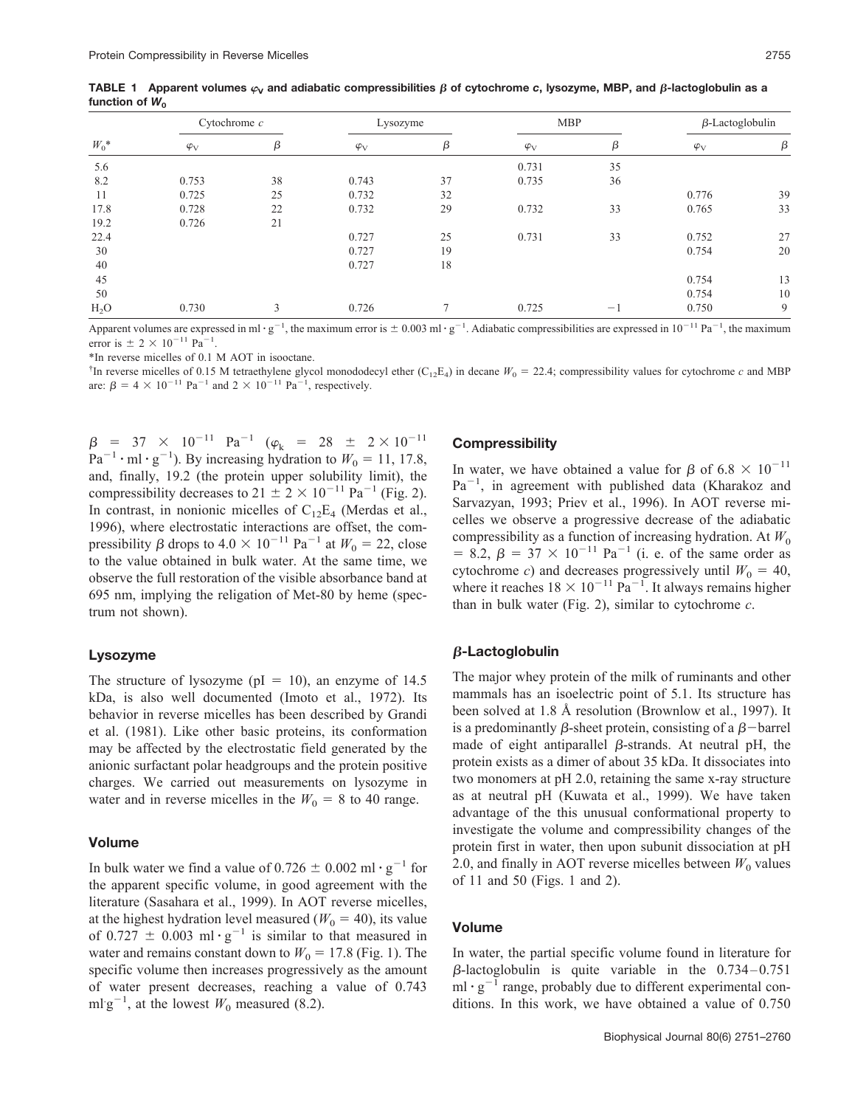| $W_0^*$          | Cytochrome $c$ |    | Lysozyme    |                | <b>MBP</b>  |                                 | $\beta$ -Lactoglobulin |    |
|------------------|----------------|----|-------------|----------------|-------------|---------------------------------|------------------------|----|
|                  | $\varphi_V$    | β  | $\varphi_V$ | β              | $\varphi_V$ | β                               | $\varphi_V$            | β  |
| 5.6              |                |    |             |                | 0.731       | 35                              |                        |    |
| 8.2              | 0.753          | 38 | 0.743       | 37             | 0.735       | 36                              |                        |    |
| 11               | 0.725          | 25 | 0.732       | 32             |             |                                 | 0.776                  | 39 |
| 17.8             | 0.728          | 22 | 0.732       | 29             | 0.732       | 33                              | 0.765                  | 33 |
| 19.2             | 0.726          | 21 |             |                |             |                                 |                        |    |
| 22.4             |                |    | 0.727       | 25             | 0.731       | 33                              | 0.752                  | 27 |
| 30               |                |    | 0.727       | 19             |             |                                 | 0.754                  | 20 |
| 40               |                |    | 0.727       | 18             |             |                                 |                        |    |
| 45               |                |    |             |                |             |                                 | 0.754                  | 13 |
| 50               |                |    |             |                |             |                                 | 0.754                  | 10 |
| H <sub>2</sub> O | 0.730          | 3  | 0.726       | $\overline{ }$ | 0.725       | $\hspace{0.1mm}-\hspace{0.1mm}$ | 0.750                  | 9  |

TABLE 1  $\,$  Apparent volumes  $\varphi_\mathsf{V}$  and adiabatic compressibilities  $\beta$  of cytochrome  $c,$  lysozyme, MBP, and  $\beta$ -lactoglobulin as a function of  $W_0$ 

Apparent volumes are expressed in ml·g<sup>-1</sup>, the maximum error is  $\pm 0.003$  ml·g<sup>-1</sup>. Adiabatic compressibilities are expressed in 10<sup>-11</sup> Pa<sup>-1</sup>, the maximum error is  $\pm 2 \times 10^{-11}$  Pa<sup>-1</sup>.

\*In reverse micelles of 0.1 M AOT in isooctane.

<sup>†</sup>In reverse micelles of 0.15 M tetraethylene glycol monododecyl ether  $(C_{12}E_4)$  in decane  $W_0 = 22.4$ ; compressibility values for cytochrome *c* and MBP are:  $\beta = 4 \times 10^{-11}$  Pa<sup>-1</sup> and  $2 \times 10^{-11}$  Pa<sup>-1</sup>, respectively.

 $\beta$  = 37  $\times$  10<sup>-11</sup> Pa<sup>-1</sup> ( $\varphi_k$  = 28  $\pm$  2  $\times$  10<sup>-11</sup>  $Pa^{-1} \cdot ml \cdot g^{-1}$ ). By increasing hydration to  $W_0 = 11, 17.8$ , and, finally, 19.2 (the protein upper solubility limit), the compressibility decreases to  $21 \pm 2 \times 10^{-11}$  Pa<sup>-1</sup> (Fig. 2). In contrast, in nonionic micelles of  $C_{12}E_4$  (Merdas et al., 1996), where electrostatic interactions are offset, the compressibility  $\beta$  drops to  $4.0 \times 10^{-11}$  Pa<sup>-1</sup> at  $W_0 = 22$ , close to the value obtained in bulk water. At the same time, we observe the full restoration of the visible absorbance band at 695 nm, implying the religation of Met-80 by heme (spectrum not shown).

#### **Lysozyme**

The structure of lysozyme ( $pI = 10$ ), an enzyme of 14.5 kDa, is also well documented (Imoto et al., 1972). Its behavior in reverse micelles has been described by Grandi et al. (1981). Like other basic proteins, its conformation may be affected by the electrostatic field generated by the anionic surfactant polar headgroups and the protein positive charges. We carried out measurements on lysozyme in water and in reverse micelles in the  $W_0 = 8$  to 40 range.

#### **Volume**

In bulk water we find a value of  $0.726 \pm 0.002$  ml  $\cdot$  g<sup>-1</sup> for the apparent specific volume, in good agreement with the literature (Sasahara et al., 1999). In AOT reverse micelles, at the highest hydration level measured ( $W_0 = 40$ ), its value of 0.727  $\pm$  0.003 ml  $\cdot$  g<sup>-1</sup> is similar to that measured in water and remains constant down to  $W_0 = 17.8$  (Fig. 1). The specific volume then increases progressively as the amount of water present decreases, reaching a value of 0.743 ml g<sup>-1</sup>, at the lowest  $W_0$  measured (8.2).

# **Compressibility**

In water, we have obtained a value for  $\beta$  of 6.8  $\times$  10<sup>-11</sup>  $Pa^{-1}$ , in agreement with published data (Kharakoz and Sarvazyan, 1993; Priev et al., 1996). In AOT reverse micelles we observe a progressive decrease of the adiabatic compressibility as a function of increasing hydration. At  $W_0$ = 8.2,  $\beta = 37 \times 10^{-11}$  Pa<sup>-1</sup> (i. e. of the same order as cytochrome *c*) and decreases progressively until  $W_0 = 40$ , where it reaches  $18 \times 10^{-11}$  Pa<sup>-1</sup>. It always remains higher than in bulk water (Fig. 2), similar to cytochrome *c*.

# -**-Lactoglobulin**

The major whey protein of the milk of ruminants and other mammals has an isoelectric point of 5.1. Its structure has been solved at 1.8 Å resolution (Brownlow et al., 1997). It is a predominantly  $\beta$ -sheet protein, consisting of a  $\beta$ -barrel made of eight antiparallel  $\beta$ -strands. At neutral pH, the protein exists as a dimer of about 35 kDa. It dissociates into two monomers at pH 2.0, retaining the same x-ray structure as at neutral pH (Kuwata et al., 1999). We have taken advantage of the this unusual conformational property to investigate the volume and compressibility changes of the protein first in water, then upon subunit dissociation at pH 2.0, and finally in AOT reverse micelles between  $W_0$  values of 11 and 50 (Figs. 1 and 2).

# **Volume**

In water, the partial specific volume found in literature for  $\beta$ -lactoglobulin is quite variable in the 0.734-0.751  $\text{Im} \cdot \text{g}^{-1}$  range, probably due to different experimental conditions. In this work, we have obtained a value of 0.750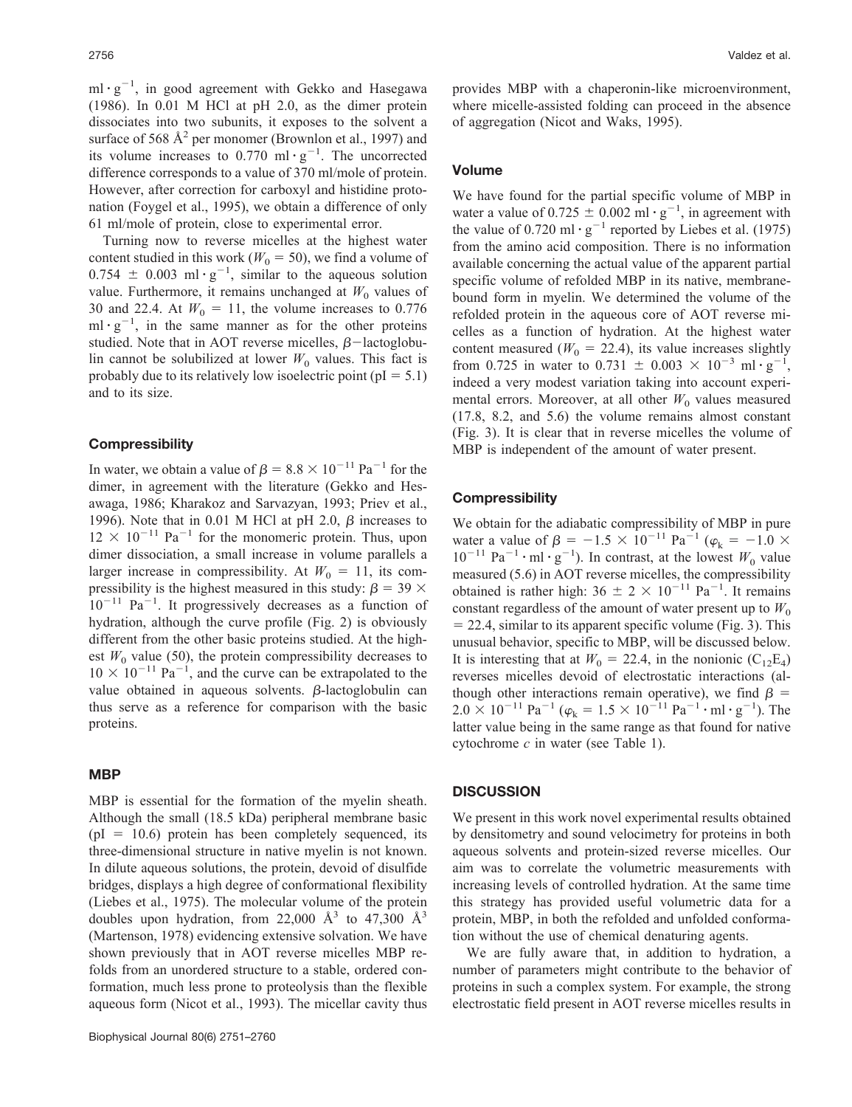$ml \cdot g^{-1}$ , in good agreement with Gekko and Hasegawa (1986). In 0.01 M HCl at pH 2.0, as the dimer protein dissociates into two subunits, it exposes to the solvent a surface of 568  $A^2$  per monomer (Brownlon et al., 1997) and its volume increases to  $0.770 \text{ ml} \cdot \text{g}^{-1}$ . The uncorrected difference corresponds to a value of 370 ml/mole of protein. However, after correction for carboxyl and histidine protonation (Foygel et al., 1995), we obtain a difference of only 61 ml/mole of protein, close to experimental error.

Turning now to reverse micelles at the highest water content studied in this work ( $W_0 = 50$ ), we find a volume of  $0.754 \pm 0.003 \text{ ml} \cdot \text{g}^{-1}$ , similar to the aqueous solution value. Furthermore, it remains unchanged at  $W_0$  values of 30 and 22.4. At  $W_0 = 11$ , the volume increases to 0.776  $ml \cdot g^{-1}$ , in the same manner as for the other proteins studied. Note that in AOT reverse micelles,  $\beta$ -lactoglobulin cannot be solubilized at lower  $W_0$  values. This fact is probably due to its relatively low isoelectric point  $(pI = 5.1)$ and to its size.

#### **Compressibility**

In water, we obtain a value of  $\beta = 8.8 \times 10^{-11}$  Pa<sup>-1</sup> for the dimer, in agreement with the literature (Gekko and Hesawaga, 1986; Kharakoz and Sarvazyan, 1993; Priev et al., 1996). Note that in 0.01 M HCl at pH 2.0,  $\beta$  increases to  $12 \times 10^{-11}$  Pa<sup>-1</sup> for the monomeric protein. Thus, upon dimer dissociation, a small increase in volume parallels a larger increase in compressibility. At  $W_0 = 11$ , its compressibility is the highest measured in this study:  $\beta = 39 \times$  $10^{-11}$  Pa<sup>-1</sup>. It progressively decreases as a function of hydration, although the curve profile (Fig. 2) is obviously different from the other basic proteins studied. At the highest  $W_0$  value (50), the protein compressibility decreases to  $10 \times 10^{-11}$  Pa<sup>-1</sup>, and the curve can be extrapolated to the value obtained in aqueous solvents.  $\beta$ -lactoglobulin can thus serve as a reference for comparison with the basic proteins.

# **MBP**

MBP is essential for the formation of the myelin sheath. Although the small (18.5 kDa) peripheral membrane basic  $(pI = 10.6)$  protein has been completely sequenced, its three-dimensional structure in native myelin is not known. In dilute aqueous solutions, the protein, devoid of disulfide bridges, displays a high degree of conformational flexibility (Liebes et al., 1975). The molecular volume of the protein doubles upon hydration, from 22,000  $\AA$ <sup>3</sup> to 47,300  $\AA$ <sup>3</sup> (Martenson, 1978) evidencing extensive solvation. We have shown previously that in AOT reverse micelles MBP refolds from an unordered structure to a stable, ordered conformation, much less prone to proteolysis than the flexible aqueous form (Nicot et al., 1993). The micellar cavity thus

provides MBP with a chaperonin-like microenvironment, where micelle-assisted folding can proceed in the absence of aggregation (Nicot and Waks, 1995).

## **Volume**

We have found for the partial specific volume of MBP in water a value of  $0.725 \pm 0.002$  ml  $\cdot$  g<sup>-1</sup>, in agreement with the value of 0.720 ml  $\cdot$  g<sup>-1</sup> reported by Liebes et al. (1975) from the amino acid composition. There is no information available concerning the actual value of the apparent partial specific volume of refolded MBP in its native, membranebound form in myelin. We determined the volume of the refolded protein in the aqueous core of AOT reverse micelles as a function of hydration. At the highest water content measured ( $W_0 = 22.4$ ), its value increases slightly from 0.725 in water to 0.731  $\pm$  0.003  $\times$  10<sup>-3</sup> ml · g<sup>-1</sup>, indeed a very modest variation taking into account experimental errors. Moreover, at all other  $W_0$  values measured (17.8, 8.2, and 5.6) the volume remains almost constant (Fig. 3). It is clear that in reverse micelles the volume of MBP is independent of the amount of water present.

## **Compressibility**

We obtain for the adiabatic compressibility of MBP in pure water a value of  $\beta = -1.5 \times 10^{-11} \text{ Pa}^{-1}$  ( $\varphi_k = -1.0 \times$  $10^{-11}$  Pa<sup>-1</sup>  $\cdot$  ml  $\cdot$  g<sup>-1</sup>). In contrast, at the lowest *W*<sub>0</sub> value measured (5.6) in AOT reverse micelles, the compressibility obtained is rather high:  $36 \pm 2 \times 10^{-11}$  Pa<sup>-1</sup>. It remains constant regardless of the amount of water present up to  $W_0$ = 22.4, similar to its apparent specific volume (Fig. 3). This unusual behavior, specific to MBP, will be discussed below. It is interesting that at  $W_0 = 22.4$ , in the nonionic (C<sub>12</sub>E<sub>4</sub>) reverses micelles devoid of electrostatic interactions (although other interactions remain operative), we find  $\beta =$ <br>2.0 × 10<sup>-11</sup> Pa<sup>-1</sup> ( $\varphi_k = 1.5 \times 10^{-11}$  Pa<sup>-1</sup> · ml · g<sup>-1</sup>). The latter value being in the same range as that found for native cytochrome *c* in water (see Table 1).

#### **DISCUSSION**

We present in this work novel experimental results obtained by densitometry and sound velocimetry for proteins in both aqueous solvents and protein-sized reverse micelles. Our aim was to correlate the volumetric measurements with increasing levels of controlled hydration. At the same time this strategy has provided useful volumetric data for a protein, MBP, in both the refolded and unfolded conformation without the use of chemical denaturing agents.

We are fully aware that, in addition to hydration, a number of parameters might contribute to the behavior of proteins in such a complex system. For example, the strong electrostatic field present in AOT reverse micelles results in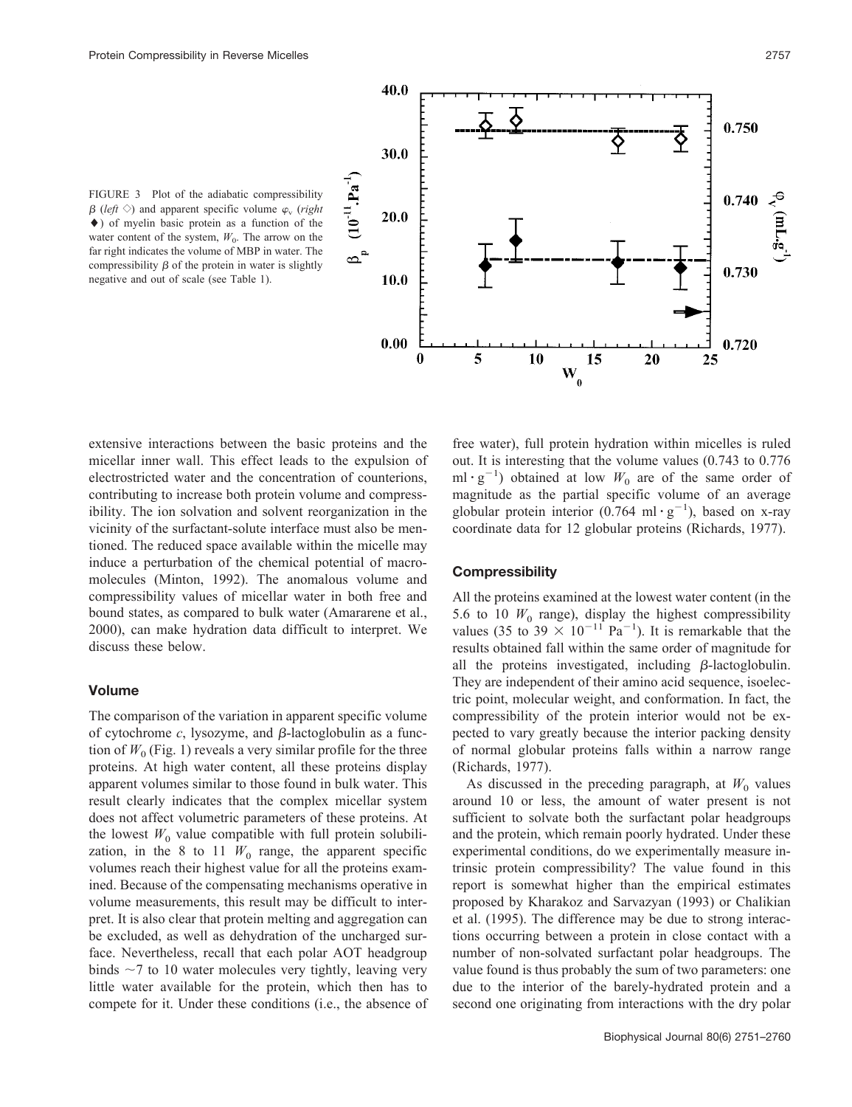

FIGURE 3 Plot of the adiabatic compressibility  $\beta$  (*left*  $\Diamond$ ) and apparent specific volume  $\varphi$ <sub>v</sub> (*right* ) of myelin basic protein as a function of the water content of the system,  $W_0$ . The arrow on the far right indicates the volume of MBP in water. The compressibility  $\beta$  of the protein in water is slightly negative and out of scale (see Table 1).

extensive interactions between the basic proteins and the micellar inner wall. This effect leads to the expulsion of electrostricted water and the concentration of counterions, contributing to increase both protein volume and compressibility. The ion solvation and solvent reorganization in the vicinity of the surfactant-solute interface must also be mentioned. The reduced space available within the micelle may induce a perturbation of the chemical potential of macromolecules (Minton, 1992). The anomalous volume and compressibility values of micellar water in both free and bound states, as compared to bulk water (Amararene et al., 2000), can make hydration data difficult to interpret. We discuss these below.

## **Volume**

The comparison of the variation in apparent specific volume of cytochrome  $c$ , lysozyme, and  $\beta$ -lactoglobulin as a function of  $W_0$  (Fig. 1) reveals a very similar profile for the three proteins. At high water content, all these proteins display apparent volumes similar to those found in bulk water. This result clearly indicates that the complex micellar system does not affect volumetric parameters of these proteins. At the lowest  $W_0$  value compatible with full protein solubilization, in the 8 to 11  $W_0$  range, the apparent specific volumes reach their highest value for all the proteins examined. Because of the compensating mechanisms operative in volume measurements, this result may be difficult to interpret. It is also clear that protein melting and aggregation can be excluded, as well as dehydration of the uncharged surface. Nevertheless, recall that each polar AOT headgroup binds  $\sim$ 7 to 10 water molecules very tightly, leaving very little water available for the protein, which then has to compete for it. Under these conditions (i.e., the absence of free water), full protein hydration within micelles is ruled out. It is interesting that the volume values (0.743 to 0.776  $ml \cdot g^{-1}$ ) obtained at low  $W_0$  are of the same order of magnitude as the partial specific volume of an average globular protein interior (0.764 ml·g<sup>-1</sup>), based on x-ray coordinate data for 12 globular proteins (Richards, 1977).

### **Compressibility**

All the proteins examined at the lowest water content (in the 5.6 to 10  $W_0$  range), display the highest compressibility values (35 to 39  $\times$  10<sup>-11</sup> Pa<sup>-1</sup>). It is remarkable that the results obtained fall within the same order of magnitude for all the proteins investigated, including  $\beta$ -lactoglobulin. They are independent of their amino acid sequence, isoelectric point, molecular weight, and conformation. In fact, the compressibility of the protein interior would not be expected to vary greatly because the interior packing density of normal globular proteins falls within a narrow range (Richards, 1977).

As discussed in the preceding paragraph, at  $W_0$  values around 10 or less, the amount of water present is not sufficient to solvate both the surfactant polar headgroups and the protein, which remain poorly hydrated. Under these experimental conditions, do we experimentally measure intrinsic protein compressibility? The value found in this report is somewhat higher than the empirical estimates proposed by Kharakoz and Sarvazyan (1993) or Chalikian et al. (1995). The difference may be due to strong interactions occurring between a protein in close contact with a number of non-solvated surfactant polar headgroups. The value found is thus probably the sum of two parameters: one due to the interior of the barely-hydrated protein and a second one originating from interactions with the dry polar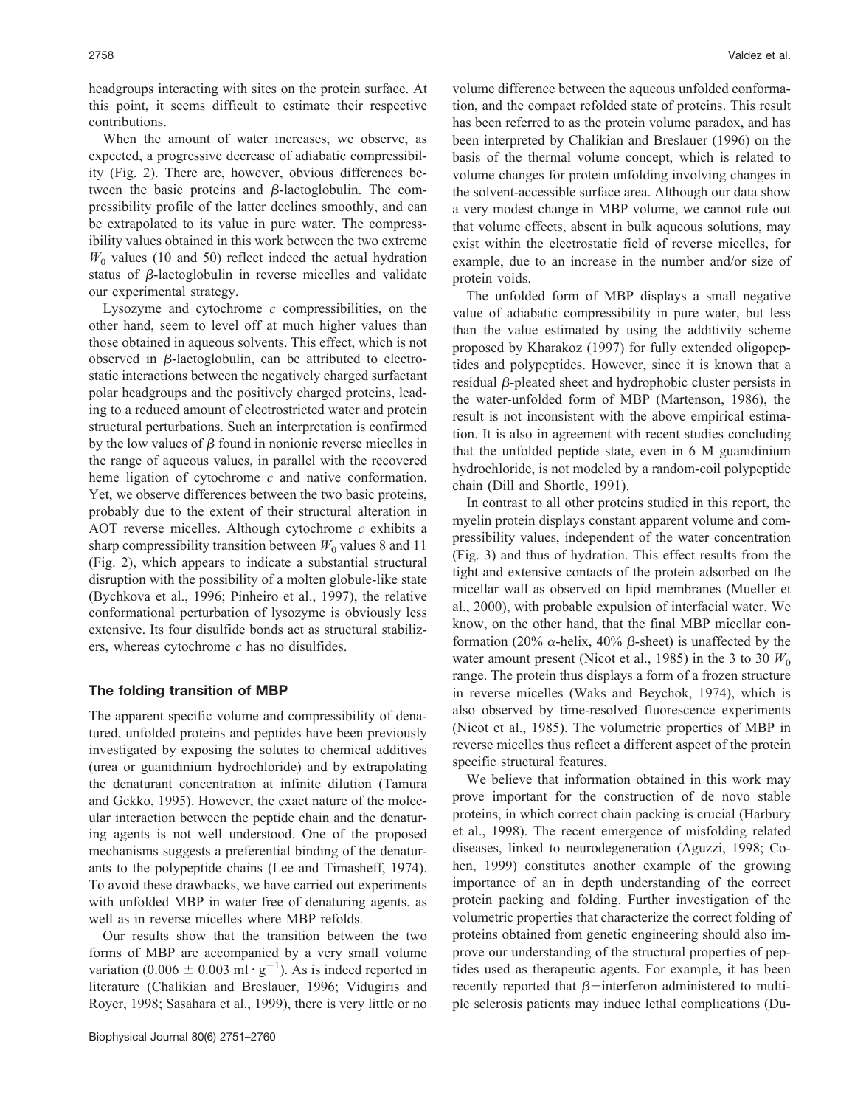headgroups interacting with sites on the protein surface. At this point, it seems difficult to estimate their respective contributions.

When the amount of water increases, we observe, as expected, a progressive decrease of adiabatic compressibility (Fig. 2). There are, however, obvious differences between the basic proteins and  $\beta$ -lactoglobulin. The compressibility profile of the latter declines smoothly, and can be extrapolated to its value in pure water. The compressibility values obtained in this work between the two extreme  $W_0$  values (10 and 50) reflect indeed the actual hydration status of  $\beta$ -lactoglobulin in reverse micelles and validate our experimental strategy.

Lysozyme and cytochrome *c* compressibilities, on the other hand, seem to level off at much higher values than those obtained in aqueous solvents. This effect, which is not observed in  $\beta$ -lactoglobulin, can be attributed to electrostatic interactions between the negatively charged surfactant polar headgroups and the positively charged proteins, leading to a reduced amount of electrostricted water and protein structural perturbations. Such an interpretation is confirmed by the low values of  $\beta$  found in nonionic reverse micelles in the range of aqueous values, in parallel with the recovered heme ligation of cytochrome *c* and native conformation. Yet, we observe differences between the two basic proteins, probably due to the extent of their structural alteration in AOT reverse micelles. Although cytochrome *c* exhibits a sharp compressibility transition between  $W_0$  values 8 and 11 (Fig. 2), which appears to indicate a substantial structural disruption with the possibility of a molten globule-like state (Bychkova et al., 1996; Pinheiro et al., 1997), the relative conformational perturbation of lysozyme is obviously less extensive. Its four disulfide bonds act as structural stabilizers, whereas cytochrome *c* has no disulfides.

# **The folding transition of MBP**

The apparent specific volume and compressibility of denatured, unfolded proteins and peptides have been previously investigated by exposing the solutes to chemical additives (urea or guanidinium hydrochloride) and by extrapolating the denaturant concentration at infinite dilution (Tamura and Gekko, 1995). However, the exact nature of the molecular interaction between the peptide chain and the denaturing agents is not well understood. One of the proposed mechanisms suggests a preferential binding of the denaturants to the polypeptide chains (Lee and Timasheff, 1974). To avoid these drawbacks, we have carried out experiments with unfolded MBP in water free of denaturing agents, as well as in reverse micelles where MBP refolds.

Our results show that the transition between the two forms of MBP are accompanied by a very small volume variation (0.006  $\pm$  0.003 ml · g<sup>-1</sup>). As is indeed reported in literature (Chalikian and Breslauer, 1996; Vidugiris and Royer, 1998; Sasahara et al., 1999), there is very little or no

volume difference between the aqueous unfolded conformation, and the compact refolded state of proteins. This result has been referred to as the protein volume paradox, and has been interpreted by Chalikian and Breslauer (1996) on the basis of the thermal volume concept, which is related to volume changes for protein unfolding involving changes in the solvent-accessible surface area. Although our data show a very modest change in MBP volume, we cannot rule out that volume effects, absent in bulk aqueous solutions, may exist within the electrostatic field of reverse micelles, for example, due to an increase in the number and/or size of protein voids.

The unfolded form of MBP displays a small negative value of adiabatic compressibility in pure water, but less than the value estimated by using the additivity scheme proposed by Kharakoz (1997) for fully extended oligopeptides and polypeptides. However, since it is known that a  $residual$   $\beta$ -pleated sheet and hydrophobic cluster persists in the water-unfolded form of MBP (Martenson, 1986), the result is not inconsistent with the above empirical estimation. It is also in agreement with recent studies concluding that the unfolded peptide state, even in 6 M guanidinium hydrochloride, is not modeled by a random-coil polypeptide chain (Dill and Shortle, 1991).

In contrast to all other proteins studied in this report, the myelin protein displays constant apparent volume and compressibility values, independent of the water concentration (Fig. 3) and thus of hydration. This effect results from the tight and extensive contacts of the protein adsorbed on the micellar wall as observed on lipid membranes (Mueller et al., 2000), with probable expulsion of interfacial water. We know, on the other hand, that the final MBP micellar conformation (20%  $\alpha$ -helix, 40%  $\beta$ -sheet) is unaffected by the water amount present (Nicot et al., 1985) in the 3 to 30  $W_0$ range. The protein thus displays a form of a frozen structure in reverse micelles (Waks and Beychok, 1974), which is also observed by time-resolved fluorescence experiments (Nicot et al., 1985). The volumetric properties of MBP in reverse micelles thus reflect a different aspect of the protein specific structural features.

We believe that information obtained in this work may prove important for the construction of de novo stable proteins, in which correct chain packing is crucial (Harbury et al., 1998). The recent emergence of misfolding related diseases, linked to neurodegeneration (Aguzzi, 1998; Cohen, 1999) constitutes another example of the growing importance of an in depth understanding of the correct protein packing and folding. Further investigation of the volumetric properties that characterize the correct folding of proteins obtained from genetic engineering should also improve our understanding of the structural properties of peptides used as therapeutic agents. For example, it has been recently reported that  $\beta$ -interferon administered to multiple sclerosis patients may induce lethal complications (Du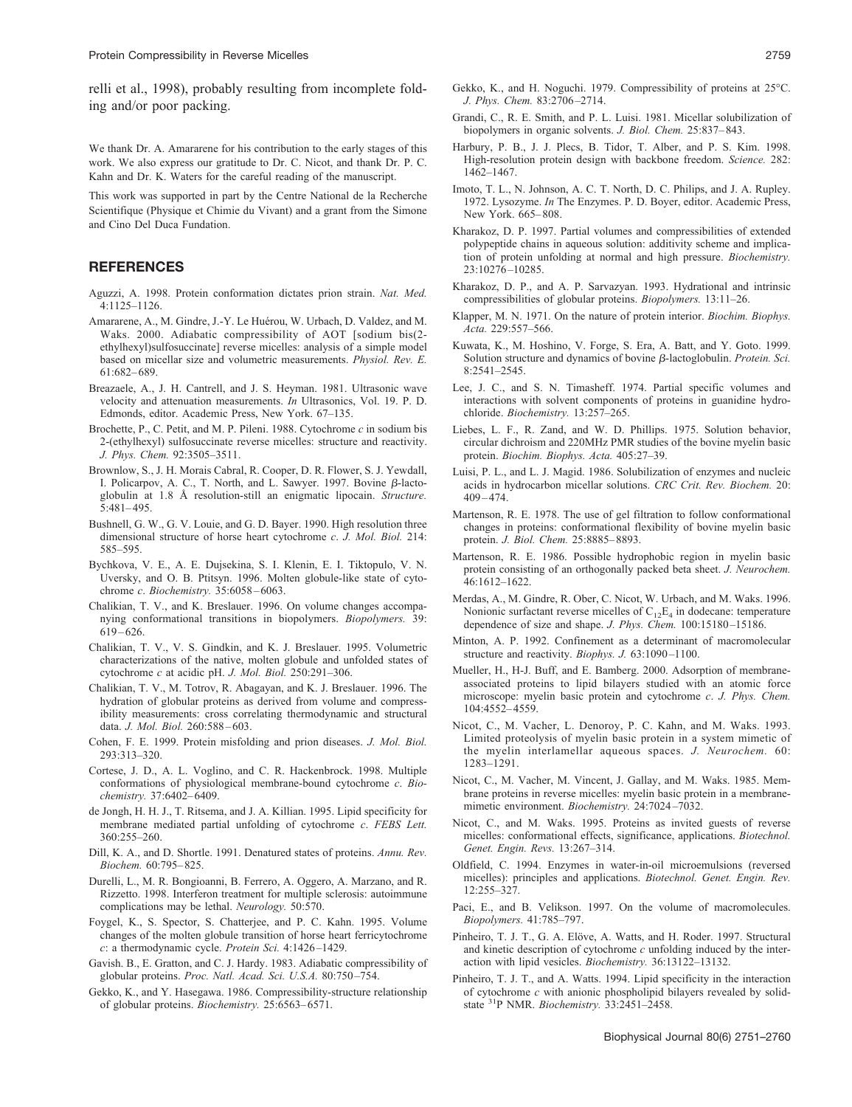relli et al., 1998), probably resulting from incomplete folding and/or poor packing.

We thank Dr. A. Amararene for his contribution to the early stages of this work. We also express our gratitude to Dr. C. Nicot, and thank Dr. P. C. Kahn and Dr. K. Waters for the careful reading of the manuscript.

This work was supported in part by the Centre National de la Recherche Scientifique (Physique et Chimie du Vivant) and a grant from the Simone and Cino Del Duca Fundation.

# **REFERENCES**

- Aguzzi, A. 1998. Protein conformation dictates prion strain. *Nat. Med.* 4:1125–1126.
- Amararene, A., M. Gindre, J.-Y. Le Huérou, W. Urbach, D. Valdez, and M. Waks. 2000. Adiabatic compressibility of AOT [sodium bis(2 ethylhexyl)sulfosuccinate] reverse micelles: analysis of a simple model based on micellar size and volumetric measurements. *Physiol. Rev. E.* 61:682– 689.
- Breazaele, A., J. H. Cantrell, and J. S. Heyman. 1981. Ultrasonic wave velocity and attenuation measurements. *In* Ultrasonics, Vol. 19. P. D. Edmonds, editor. Academic Press, New York. 67–135.
- Brochette, P., C. Petit, and M. P. Pileni. 1988. Cytochrome *c* in sodium bis 2-(ethylhexyl) sulfosuccinate reverse micelles: structure and reactivity. *J. Phys. Chem.* 92:3505–3511.
- Brownlow, S., J. H. Morais Cabral, R. Cooper, D. R. Flower, S. J. Yewdall, I. Policarpov, A. C., T. North, and L. Sawyer. 1997. Bovine  $\beta$ -lactoglobulin at 1.8 Å resolution-still an enigmatic lipocain. *Structure.* 5:481– 495.
- Bushnell, G. W., G. V. Louie, and G. D. Bayer. 1990. High resolution three dimensional structure of horse heart cytochrome *c*. *J. Mol. Biol.* 214: 585–595.
- Bychkova, V. E., A. E. Dujsekina, S. I. Klenin, E. I. Tiktopulo, V. N. Uversky, and O. B. Ptitsyn. 1996. Molten globule-like state of cytochrome *c*. *Biochemistry.* 35:6058 – 6063.
- Chalikian, T. V., and K. Breslauer. 1996. On volume changes accompanying conformational transitions in biopolymers. *Biopolymers.* 39:  $619 - 626$ .
- Chalikian, T. V., V. S. Gindkin, and K. J. Breslauer. 1995. Volumetric characterizations of the native, molten globule and unfolded states of cytochrome *c* at acidic pH. *J. Mol. Biol.* 250:291–306.
- Chalikian, T. V., M. Totrov, R. Abagayan, and K. J. Breslauer. 1996. The hydration of globular proteins as derived from volume and compressibility measurements: cross correlating thermodynamic and structural data. *J. Mol. Biol.* 260:588-603.
- Cohen, F. E. 1999. Protein misfolding and prion diseases. *J. Mol. Biol.* 293:313–320.
- Cortese, J. D., A. L. Voglino, and C. R. Hackenbrock. 1998. Multiple conformations of physiological membrane-bound cytochrome *c*. *Biochemistry.* 37:6402– 6409.
- de Jongh, H. H. J., T. Ritsema, and J. A. Killian. 1995. Lipid specificity for membrane mediated partial unfolding of cytochrome *c*. *FEBS Lett.* 360:255–260.
- Dill, K. A., and D. Shortle. 1991. Denatured states of proteins. *Annu. Rev. Biochem.* 60:795– 825.
- Durelli, L., M. R. Bongioanni, B. Ferrero, A. Oggero, A. Marzano, and R. Rizzetto. 1998. Interferon treatment for multiple sclerosis: autoimmune complications may be lethal. *Neurology.* 50:570.
- Foygel, K., S. Spector, S. Chatterjee, and P. C. Kahn. 1995. Volume changes of the molten globule transition of horse heart ferricytochrome *c*: a thermodynamic cycle. *Protein Sci.* 4:1426 –1429.
- Gavish. B., E. Gratton, and C. J. Hardy. 1983. Adiabatic compressibility of globular proteins. *Proc. Natl. Acad. Sci. U.S.A.* 80:750 –754.
- Gekko, K., and Y. Hasegawa. 1986. Compressibility-structure relationship of globular proteins. *Biochemistry.* 25:6563– 6571.
- Gekko, K., and H. Noguchi. 1979. Compressibility of proteins at 25°C. *J. Phys. Chem.* 83:2706 –2714.
- Grandi, C., R. E. Smith, and P. L. Luisi. 1981. Micellar solubilization of biopolymers in organic solvents. *J. Biol. Chem.* 25:837– 843.
- Harbury, P. B., J. J. Plecs, B. Tidor, T. Alber, and P. S. Kim. 1998. High-resolution protein design with backbone freedom. *Science.* 282: 1462–1467.
- Imoto, T. L., N. Johnson, A. C. T. North, D. C. Philips, and J. A. Rupley. 1972. Lysozyme. *In* The Enzymes. P. D. Boyer, editor. Academic Press, New York. 665– 808.
- Kharakoz, D. P. 1997. Partial volumes and compressibilities of extended polypeptide chains in aqueous solution: additivity scheme and implication of protein unfolding at normal and high pressure. *Biochemistry.* 23:10276 –10285.
- Kharakoz, D. P., and A. P. Sarvazyan. 1993. Hydrational and intrinsic compressibilities of globular proteins. *Biopolymers.* 13:11–26.
- Klapper, M. N. 1971. On the nature of protein interior. *Biochim. Biophys. Acta.* 229:557–566.
- Kuwata, K., M. Hoshino, V. Forge, S. Era, A. Batt, and Y. Goto. 1999. Solution structure and dynamics of bovine  $\beta$ -lactoglobulin. *Protein. Sci.* 8:2541–2545.
- Lee, J. C., and S. N. Timasheff. 1974. Partial specific volumes and interactions with solvent components of proteins in guanidine hydrochloride. *Biochemistry.* 13:257–265.
- Liebes, L. F., R. Zand, and W. D. Phillips. 1975. Solution behavior, circular dichroism and 220MHz PMR studies of the bovine myelin basic protein. *Biochim. Biophys. Acta.* 405:27–39.
- Luisi, P. L., and L. J. Magid. 1986. Solubilization of enzymes and nucleic acids in hydrocarbon micellar solutions. *CRC Crit. Rev. Biochem.* 20:  $409 - 474$
- Martenson, R. E. 1978. The use of gel filtration to follow conformational changes in proteins: conformational flexibility of bovine myelin basic protein. *J. Biol. Chem.* 25:8885– 8893.
- Martenson, R. E. 1986. Possible hydrophobic region in myelin basic protein consisting of an orthogonally packed beta sheet. *J. Neurochem.* 46:1612–1622.
- Merdas, A., M. Gindre, R. Ober, C. Nicot, W. Urbach, and M. Waks. 1996. Nonionic surfactant reverse micelles of  $C_{12}E_4$  in dodecane: temperature dependence of size and shape. *J. Phys. Chem.* 100:15180-15186.
- Minton, A. P. 1992. Confinement as a determinant of macromolecular structure and reactivity. *Biophys. J.* 63:1090-1100.
- Mueller, H., H-J. Buff, and E. Bamberg. 2000. Adsorption of membraneassociated proteins to lipid bilayers studied with an atomic force microscope: myelin basic protein and cytochrome *c*. *J. Phys. Chem.* 104:4552– 4559.
- Nicot, C., M. Vacher, L. Denoroy, P. C. Kahn, and M. Waks. 1993. Limited proteolysis of myelin basic protein in a system mimetic of the myelin interlamellar aqueous spaces. *J. Neurochem.* 60: 1283–1291.
- Nicot, C., M. Vacher, M. Vincent, J. Gallay, and M. Waks. 1985. Membrane proteins in reverse micelles: myelin basic protein in a membranemimetic environment. *Biochemistry.* 24:7024 –7032.
- Nicot, C., and M. Waks. 1995. Proteins as invited guests of reverse micelles: conformational effects, significance, applications. *Biotechnol. Genet. Engin. Revs.* 13:267–314.
- Oldfield, C. 1994. Enzymes in water-in-oil microemulsions (reversed micelles): principles and applications. *Biotechnol. Genet. Engin. Rev.* 12:255–327.
- Paci, E., and B. Velikson. 1997. On the volume of macromolecules. *Biopolymers.* 41:785–797.
- Pinheiro, T. J. T., G. A. Elöve, A. Watts, and H. Roder. 1997. Structural and kinetic description of cytochrome *c* unfolding induced by the interaction with lipid vesicles. *Biochemistry.* 36:13122–13132.
- Pinheiro, T. J. T., and A. Watts. 1994. Lipid specificity in the interaction of cytochrome *c* with anionic phospholipid bilayers revealed by solidstate 31P NMR. *Biochemistry.* 33:2451–2458.